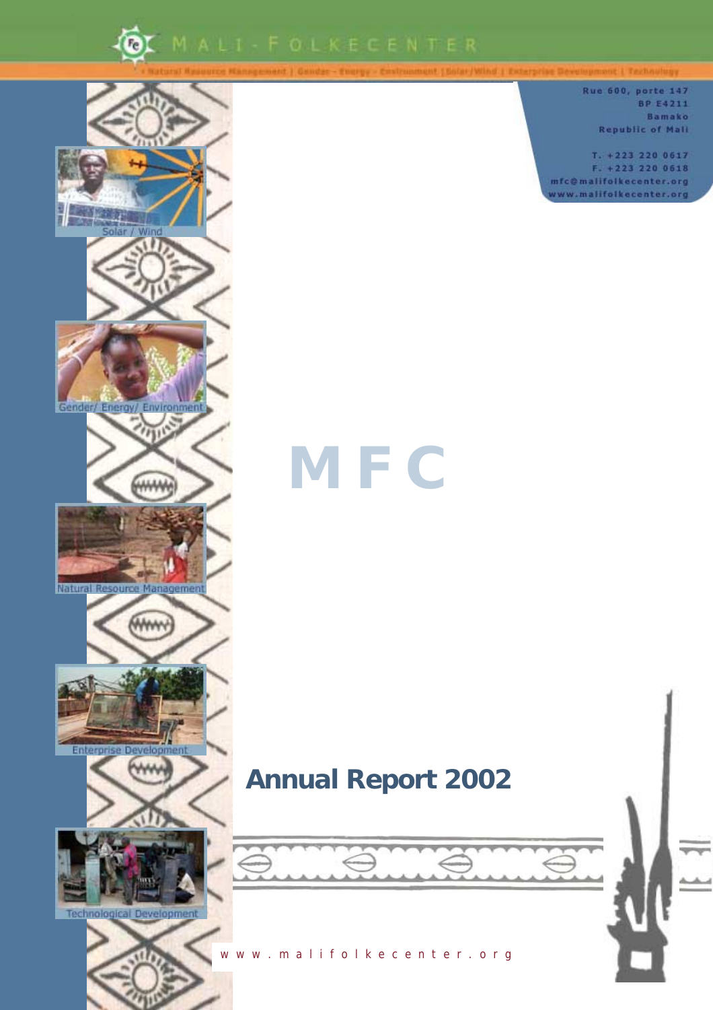

**Rue 600, porte 147 BP E4211 Bamako Republic of Mall** T. +223 220 0617

F. +223 220 0618 mfc@malifolkecenter.org www.malifolkecenter.org





# **M F C**

# **Annual Report 2002**

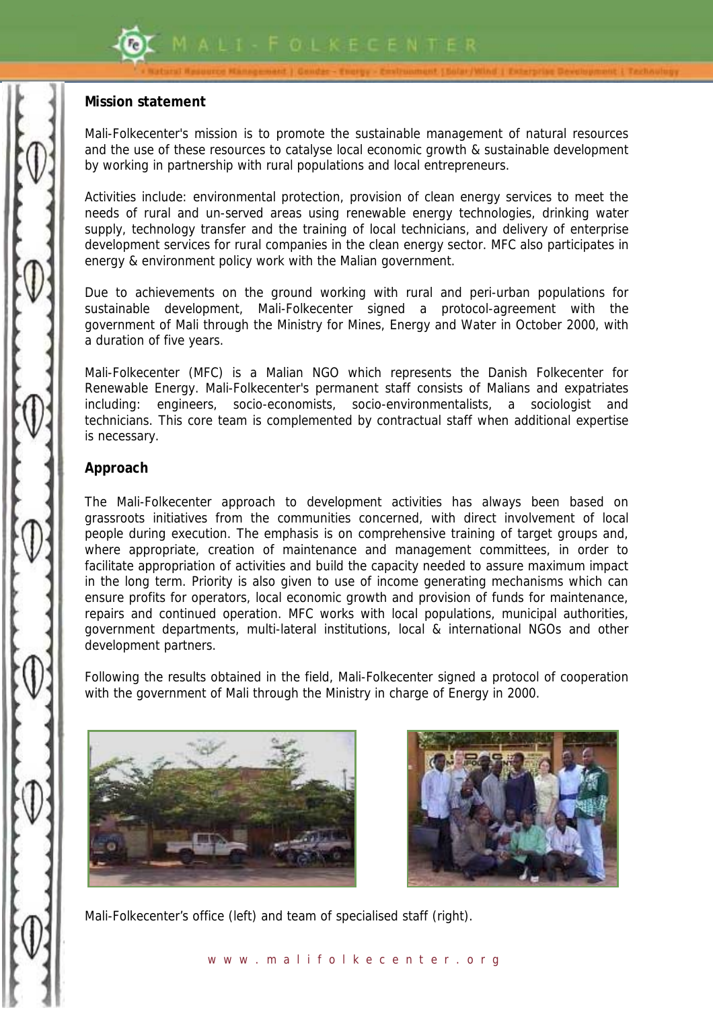

## **Mission statement**

Mali-Folkecenter's mission is to promote the sustainable management of natural resources and the use of these resources to catalyse local economic growth & sustainable development by working in partnership with rural populations and local entrepreneurs.

Activities include: environmental protection, provision of clean energy services to meet the needs of rural and un-served areas using renewable energy technologies, drinking water supply, technology transfer and the training of local technicians, and delivery of enterprise development services for rural companies in the clean energy sector. MFC also participates in energy & environment policy work with the Malian government.

Due to achievements on the ground working with rural and peri-urban populations for sustainable development, Mali-Folkecenter signed a protocol-agreement with the government of Mali through the Ministry for Mines, Energy and Water in October 2000, with a duration of five years.

Mali-Folkecenter (MFC) is a Malian NGO which represents the Danish Folkecenter for Renewable Energy. Mali-Folkecenter's permanent staff consists of Malians and expatriates including: engineers, socio-economists, socio-environmentalists, a sociologist and technicians. This core team is complemented by contractual staff when additional expertise is necessary.

## **Approach**

The Mali-Folkecenter approach to development activities has always been based on grassroots initiatives from the communities concerned, with direct involvement of local people during execution. The emphasis is on comprehensive training of target groups and, where appropriate, creation of maintenance and management committees, in order to facilitate appropriation of activities and build the capacity needed to assure maximum impact in the long term. Priority is also given to use of income generating mechanisms which can ensure profits for operators, local economic growth and provision of funds for maintenance, repairs and continued operation. MFC works with local populations, municipal authorities, government departments, multi-lateral institutions, local & international NGOs and other development partners.

Following the results obtained in the field, Mali-Folkecenter signed a protocol of cooperation with the government of Mali through the Ministry in charge of Energy in 2000.





Mali-Folkecenter's office (left) and team of specialised staff (right).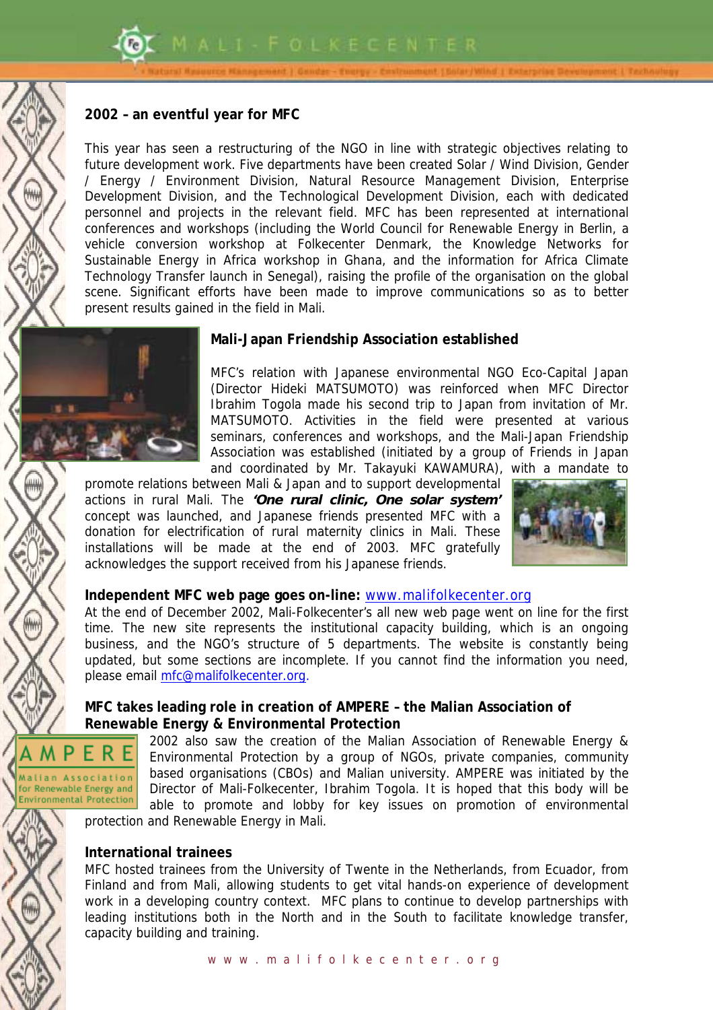

## **2002 – an eventful year for MFC**

This year has seen a restructuring of the NGO in line with strategic objectives relating to future development work. Five departments have been created Solar / Wind Division, Gender / Energy / Environment Division, Natural Resource Management Division, Enterprise Development Division, and the Technological Development Division, each with dedicated personnel and projects in the relevant field. MFC has been represented at international conferences and workshops (including the World Council for Renewable Energy in Berlin, a vehicle conversion workshop at Folkecenter Denmark, the Knowledge Networks for Sustainable Energy in Africa workshop in Ghana, and the information for Africa Climate Technology Transfer launch in Senegal), raising the profile of the organisation on the global scene. Significant efforts have been made to improve communications so as to better present results gained in the field in Mali.



## **Mali-Japan Friendship Association established**

MFC's relation with Japanese environmental NGO Eco-Capital Japan (Director Hideki MATSUMOTO) was reinforced when MFC Director Ibrahim Togola made his second trip to Japan from invitation of Mr. MATSUMOTO. Activities in the field were presented at various seminars, conferences and workshops, and the Mali-Japan Friendship Association was established (initiated by a group of Friends in Japan and coordinated by Mr. Takayuki KAWAMURA), with a mandate to

promote relations between Mali & Japan and to support developmental actions in rural Mali. The **'One rural clinic, One solar system'** concept was launched, and Japanese friends presented MFC with a donation for electrification of rural maternity clinics in Mali. These installations will be made at the end of 2003. MFC gratefully acknowledges the support received from his Japanese friends.



## **Independent MFC web page goes on-line:** [www.malifolkecenter.org](http://www.malifolkecenter.org/)

At the end of December 2002, Mali-Folkecenter's all new web page went on line for the first time. The new site represents the institutional capacity building, which is an ongoing business, and the NGO's structure of 5 departments. The website is constantly being updated, but some sections are incomplete. If you cannot find the information you need, please email [mfc@malifolkecenter.org.](mailto:mfc@malifolkecenter.org)

## **MFC takes leading role in creation of AMPERE – the Malian Association of Renewable Energy & Environmental Protection**

2002 also saw the creation of the Malian Association of Renewable Energy & Environmental Protection by a group of NGOs, private companies, community based organisations (CBOs) and Malian university. AMPERE was initiated by the Director of Mali-Folkecenter, Ibrahim Togola. It is hoped that this body will be able to promote and lobby for key issues on promotion of environmental

protection and Renewable Energy in Mali.

## **International trainees**

Malian Association for Renewable Energy and **Environmental Protection** 

> MFC hosted trainees from the University of Twente in the Netherlands, from Ecuador, from Finland and from Mali, allowing students to get vital hands-on experience of development work in a developing country context. MFC plans to continue to develop partnerships with leading institutions both in the North and in the South to facilitate knowledge transfer, capacity building and training.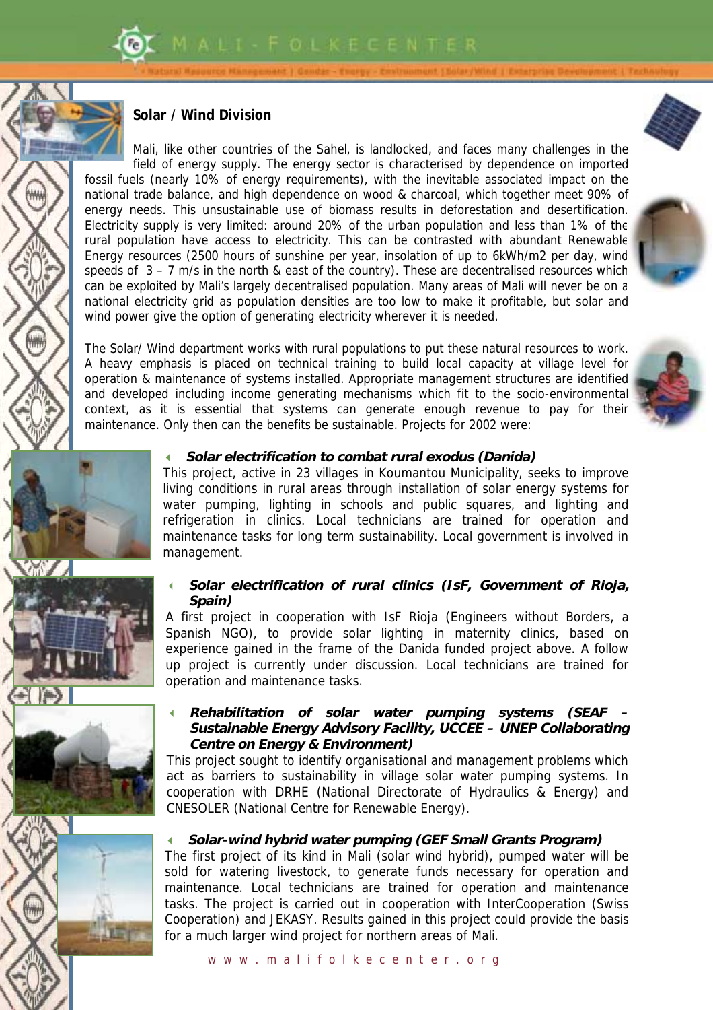## **Solar / Wind Division**

Mali, like other countries of the Sahel, is landlocked, and faces many challenges in the field of energy supply. The energy sector is characterised by dependence on imported fossil fuels (nearly 10% of energy requirements), with the inevitable associated impact on the national trade balance, and high dependence on wood & charcoal, which together meet 90% of energy needs. This unsustainable use of biomass results in deforestation and desertification. Electricity supply is very limited: around 20% of the urban population and less than 1% of the rural population have access to electricity. This can be contrasted with abundant Renewable Energy resources (2500 hours of sunshine per year, insolation of up to 6kWh/m2 per day, wind speeds of 3 – 7 m/s in the north & east of the country). These are decentralised resources which can be exploited by Mali's largely decentralised population. Many areas of Mali will never be on a national electricity grid as population densities are too low to make it profitable, but solar and wind power give the option of generating electricity wherever it is needed.

The Solar/ Wind department works with rural populations to put these natural resources to work. A heavy emphasis is placed on technical training to build local capacity at village level for operation & maintenance of systems installed. Appropriate management structures are identified and developed including income generating mechanisms which fit to the socio-environmental context, as it is essential that systems can generate enough revenue to pay for their maintenance. Only then can the benefits be sustainable. Projects for 2002 were:











## ! **Solar electrification to combat rural exodus (Danida)**

This project, active in 23 villages in Koumantou Municipality, seeks to improve living conditions in rural areas through installation of solar energy systems for water pumping, lighting in schools and public squares, and lighting and refrigeration in clinics. Local technicians are trained for operation and maintenance tasks for long term sustainability. Local government is involved in management.

## ! **Solar electrification of rural clinics (IsF, Government of Rioja, Spain)**

A first project in cooperation with IsF Rioja (Engineers without Borders, a Spanish NGO), to provide solar lighting in maternity clinics, based on experience gained in the frame of the Danida funded project above. A follow up project is currently under discussion. Local technicians are trained for operation and maintenance tasks.

## **Rehabilitation of solar water pumping systems (SEAF Sustainable Energy Advisory Facility, UCCEE – UNEP Collaborating Centre on Energy & Environment)**

This project sought to identify organisational and management problems which act as barriers to sustainability in village solar water pumping systems. In cooperation with DRHE (National Directorate of Hydraulics & Energy) and CNESOLER (National Centre for Renewable Energy).

## ! **Solar-wind hybrid water pumping (GEF Small Grants Program)**

The first project of its kind in Mali (solar wind hybrid), pumped water will be sold for watering livestock, to generate funds necessary for operation and maintenance. Local technicians are trained for operation and maintenance tasks. The project is carried out in cooperation with InterCooperation (Swiss Cooperation) and JEKASY. Results gained in this project could provide the basis for a much larger wind project for northern areas of Mali.

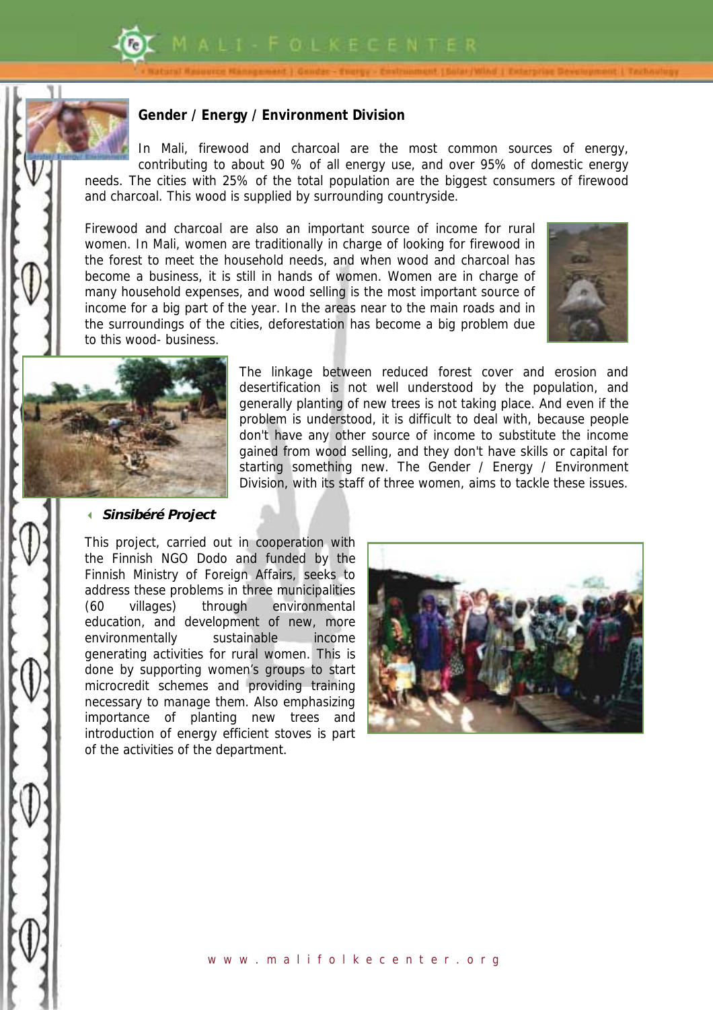



## **Gender / Energy / Environment Division**

In Mali, firewood and charcoal are the most common sources of energy, contributing to about 90 % of all energy use, and over 95% of domestic energy needs. The cities with 25% of the total population are the biggest consumers of firewood and charcoal. This wood is supplied by surrounding countryside.

Firewood and charcoal are also an important source of income for rural women. In Mali, women are traditionally in charge of looking for firewood in the forest to meet the household needs, and when wood and charcoal has become a business, it is still in hands of women. Women are in charge of many household expenses, and wood selling is the most important source of income for a big part of the year. In the areas near to the main roads and in the surroundings of the cities, deforestation has become a big problem due to this wood- business.





The linkage between reduced forest cover and erosion and desertification is not well understood by the population, and generally planting of new trees is not taking place. And even if the problem is understood, it is difficult to deal with, because people don't have any other source of income to substitute the income gained from wood selling, and they don't have skills or capital for starting something new. The Gender / Energy / Environment Division, with its staff of three women, aims to tackle these issues.

## ! **Sinsibéré Project**

This project, carried out in cooperation with the Finnish NGO Dodo and funded by the Finnish Ministry of Foreign Affairs, seeks to address these problems in three municipalities (60 villages) through environmental education, and development of new, more environmentally sustainable income generating activities for rural women. This is done by supporting women's groups to start microcredit schemes and providing training necessary to manage them. Also emphasizing importance of planting new trees and introduction of energy efficient stoves is part of the activities of the department.

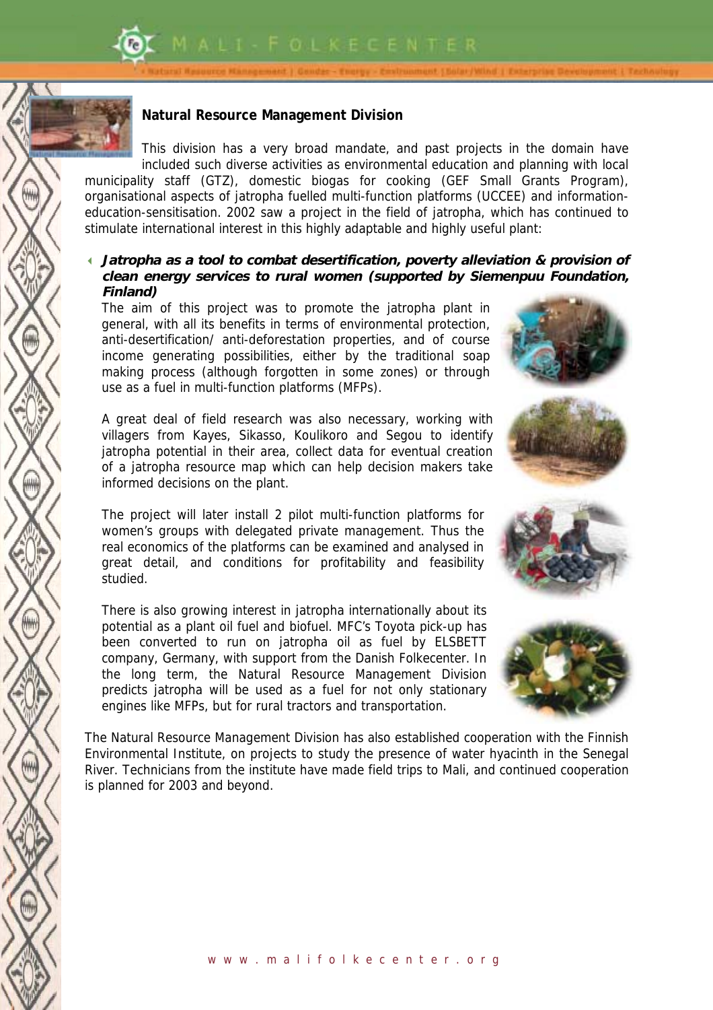



## **Natural Resource Management Division**

This division has a very broad mandate, and past projects in the domain have included such diverse activities as environmental education and planning with local municipality staff (GTZ), domestic biogas for cooking (GEF Small Grants Program), organisational aspects of jatropha fuelled multi-function platforms (UCCEE) and informationeducation-sensitisation. 2002 saw a project in the field of jatropha, which has continued to stimulate international interest in this highly adaptable and highly useful plant:

## ! **Jatropha as a tool to combat desertification, poverty alleviation & provision of clean energy services to rural women (supported by Siemenpuu Foundation, Finland)**

The aim of this project was to promote the jatropha plant in general, with all its benefits in terms of environmental protection, anti-desertification/ anti-deforestation properties, and of course income generating possibilities, either by the traditional soap making process (although forgotten in some zones) or through use as a fuel in multi-function platforms (MFPs).

A great deal of field research was also necessary, working with villagers from Kayes, Sikasso, Koulikoro and Segou to identify jatropha potential in their area, collect data for eventual creation of a jatropha resource map which can help decision makers take informed decisions on the plant.

The project will later install 2 pilot multi-function platforms for women's groups with delegated private management. Thus the real economics of the platforms can be examined and analysed in great detail, and conditions for profitability and feasibility studied.

There is also growing interest in jatropha internationally about its potential as a plant oil fuel and biofuel. MFC's Toyota pick-up has been converted to run on jatropha oil as fuel by ELSBETT company, Germany, with support from the Danish Folkecenter. In the long term, the Natural Resource Management Division predicts jatropha will be used as a fuel for not only stationary engines like MFPs, but for rural tractors and transportation.









The Natural Resource Management Division has also established cooperation with the Finnish Environmental Institute, on projects to study the presence of water hyacinth in the Senegal River. Technicians from the institute have made field trips to Mali, and continued cooperation is planned for 2003 and beyond.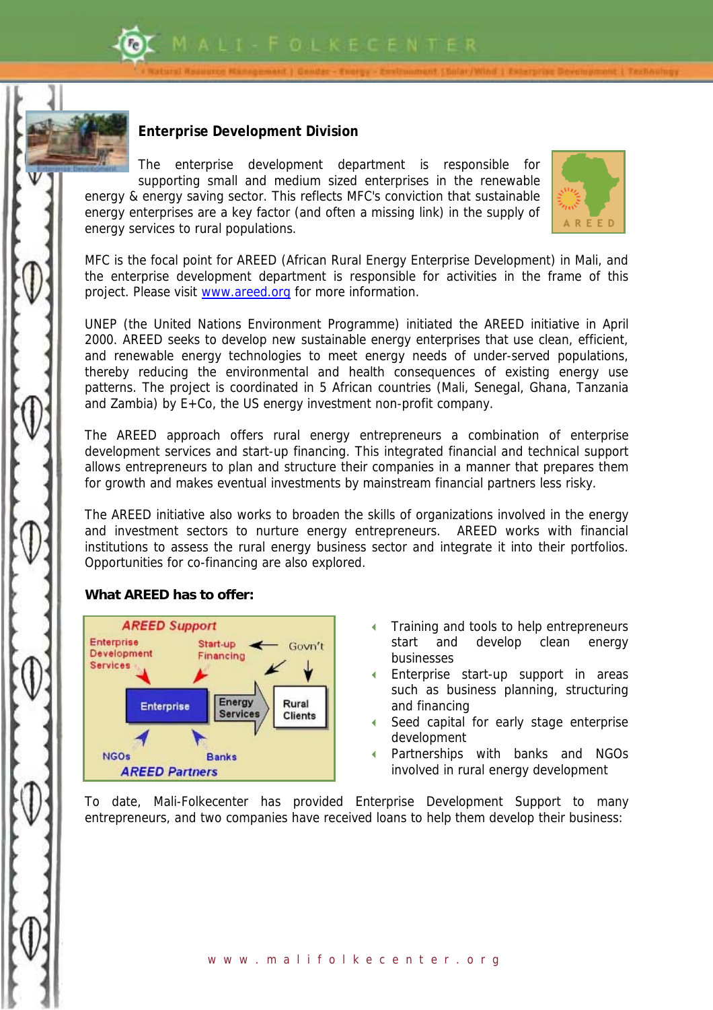

## **Enterprise Development Division**

The enterprise development department is responsible for supporting small and medium sized enterprises in the renewable energy & energy saving sector. This reflects MFC's conviction that sustainable energy enterprises are a key factor (and often a missing link) in the supply of energy services to rural populations.



MFC is the focal point for AREED (African Rural Energy Enterprise Development) in Mali, and the enterprise development department is responsible for activities in the frame of this project. Please visit [www.areed.org](http://www.areed.org/) for more information.

UNEP (the United Nations Environment Programme) initiated the AREED initiative in April 2000. AREED seeks to develop new sustainable energy enterprises that use clean, efficient, and renewable energy technologies to meet energy needs of under-served populations, thereby reducing the environmental and health consequences of existing energy use patterns. The project is coordinated in 5 African countries (Mali, Senegal, Ghana, Tanzania and Zambia) by E+Co, the US energy investment non-profit company.

The AREED approach offers rural energy entrepreneurs a combination of enterprise development services and start-up financing. This integrated financial and technical support allows entrepreneurs to plan and structure their companies in a manner that prepares them for growth and makes eventual investments by mainstream financial partners less risky.

The AREED initiative also works to broaden the skills of organizations involved in the energy and investment sectors to nurture energy entrepreneurs. AREED works with financial institutions to assess the rural energy business sector and integrate it into their portfolios. Opportunities for co-financing are also explored.

## **What AREED has to offer:**



- ! Training and tools to help entrepreneurs start and develop clean energy businesses
- ! Enterprise start-up support in areas such as business planning, structuring and financing
- Seed capital for early stage enterprise development
- Partnerships with banks and NGOs involved in rural energy development

To date, Mali-Folkecenter has provided Enterprise Development Support to many entrepreneurs, and two companies have received loans to help them develop their business: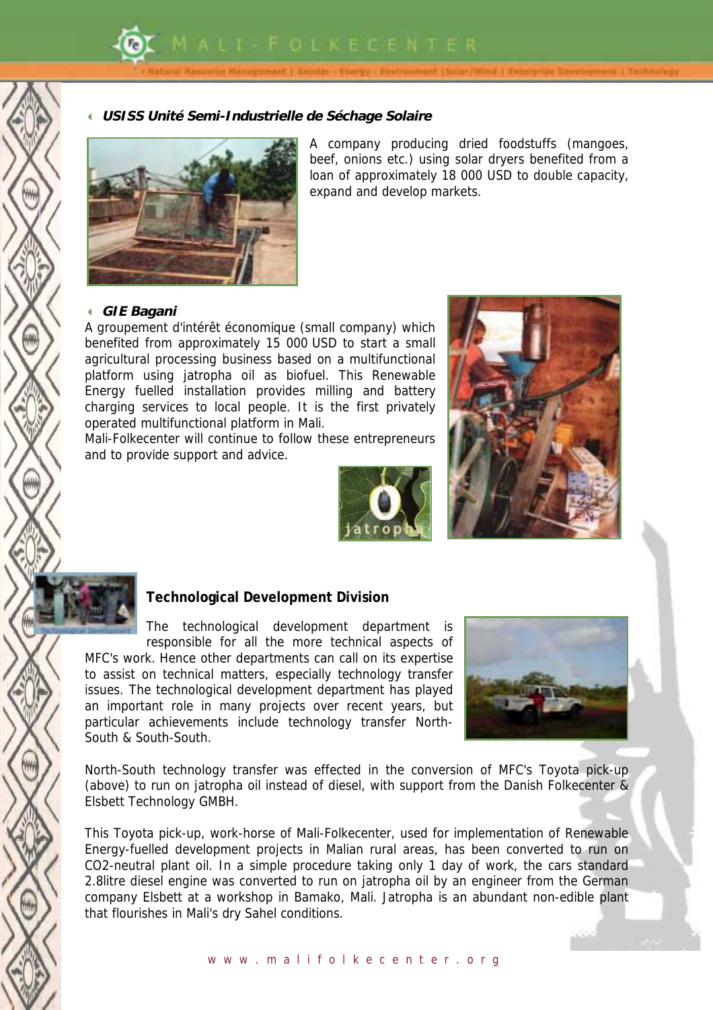

## ! **USISS Unité Semi-Industrielle de Séchage Solaire**



A company producing dried foodstuffs (mangoes, beef, onions etc.) using solar dryers benefited from a loan of approximately 18 000 USD to double capacity, expand and develop markets.

## ! **GIE Bagani**

A groupement d'intérêt économique (small company) which benefited from approximately 15 000 USD to start a small agricultural processing business based on a multifunctional platform using jatropha oil as biofuel. This Renewable Energy fuelled installation provides milling and battery charging services to local people. It is the first privately operated multifunctional platform in Mali.

Mali-Folkecenter will continue to follow these entrepreneurs and to provide support and advice.







## **Technological Development Division**

The technological development department is responsible for all the more technical aspects of

MFC's work. Hence other departments can call on its expertise to assist on technical matters, especially technology transfer issues. The technological development department has played an important role in many projects over recent years, but particular achievements include technology transfer North-South & South-South.



North-South technology transfer was effected in the conversion of MFC's Toyota pick-up (above) to run on jatropha oil instead of diesel, with support from the Danish Folkecenter & Elsbett Technology GMBH.

This Toyota pick-up, work-horse of Mali-Folkecenter, used for implementation of Renewable Energy-fuelled development projects in Malian rural areas, has been converted to run on CO2-neutral plant oil. In a simple procedure taking only 1 day of work, the cars standard 2.8litre diesel engine was converted to run on jatropha oil by an engineer from the German company Elsbett at a workshop in Bamako, Mali. Jatropha is an abundant non-edible plant that flourishes in Mali's dry Sahel conditions.